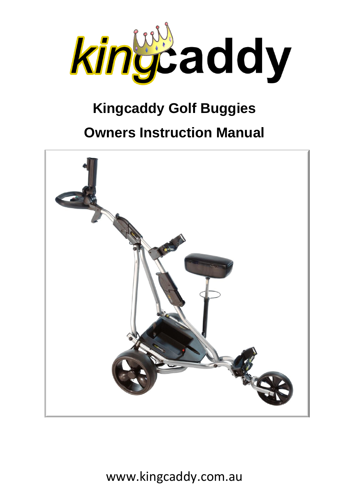

# **Kingcaddy Golf Buggies**

# **Owners Instruction Manual**

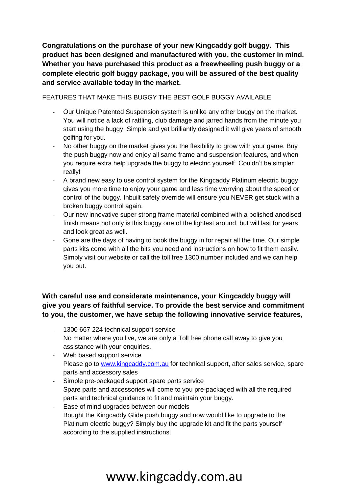**Congratulations on the purchase of your new Kingcaddy golf buggy. This product has been designed and manufactured with you, the customer in mind. Whether you have purchased this product as a freewheeling push buggy or a complete electric golf buggy package, you will be assured of the best quality and service available today in the market.**

FEATURES THAT MAKE THIS BUGGY THE BEST GOLF BUGGY AVAILABLE

- Our Unique Patented Suspension system is unlike any other buggy on the market. You will notice a lack of rattling, club damage and jarred hands from the minute you start using the buggy. Simple and yet brilliantly designed it will give years of smooth golfing for you.
- No other buggy on the market gives you the flexibility to grow with your game. Buy the push buggy now and enjoy all same frame and suspension features, and when you require extra help upgrade the buggy to electric yourself. Couldn't be simpler really!
- A brand new easy to use control system for the Kingcaddy Platinum electric buggy gives you more time to enjoy your game and less time worrying about the speed or control of the buggy. Inbuilt safety override will ensure you NEVER get stuck with a broken buggy control again.
- Our new innovative super strong frame material combined with a polished anodised finish means not only is this buggy one of the lightest around, but will last for years and look great as well.
- Gone are the days of having to book the buggy in for repair all the time. Our simple parts kits come with all the bits you need and instructions on how to fit them easily. Simply visit our website or call the toll free 1300 number included and we can help you out.

#### **With careful use and considerate maintenance, your Kingcaddy buggy will give you years of faithful service. To provide the best service and commitment to you, the customer, we have setup the following innovative service features,**

- 1300 667 224 technical support service No matter where you live, we are only a Toll free phone call away to give you assistance with your enquiries.
- Web based support service Please go to [www.kingcaddy.com.au](http://www.kingcaddy.com.au/) for technical support, after sales service, spare parts and accessory sales
- Simple pre-packaged support spare parts service Spare parts and accessories will come to you pre-packaged with all the required parts and technical guidance to fit and maintain your buggy.
- Ease of mind upgrades between our models Bought the Kingcaddy Glide push buggy and now would like to upgrade to the Platinum electric buggy? Simply buy the upgrade kit and fit the parts yourself according to the supplied instructions.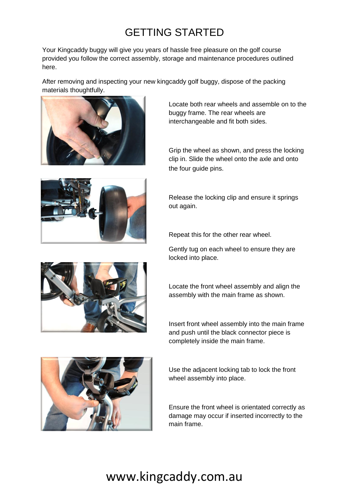# GETTING STARTED

Your Kingcaddy buggy will give you years of hassle free pleasure on the golf course provided you follow the correct assembly, storage and maintenance procedures outlined here.

After removing and inspecting your new kingcaddy golf buggy, dispose of the packing materials thoughtfully.





Locate both rear wheels and assemble on to the buggy frame. The rear wheels are interchangeable and fit both sides.

Grip the wheel as shown, and press the locking clip in. Slide the wheel onto the axle and onto the four guide pins.

Release the locking clip and ensure it springs out again.

Repeat this for the other rear wheel.

Gently tug on each wheel to ensure they are locked into place.



Locate the front wheel assembly and align the assembly with the main frame as shown.

Insert front wheel assembly into the main frame and push until the black connector piece is completely inside the main frame.



Use the adjacent locking tab to lock the front wheel assembly into place.

Ensure the front wheel is orientated correctly as damage may occur if inserted incorrectly to the main frame.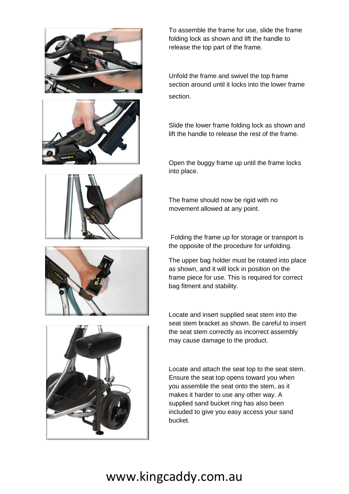





To assemble the frame for use, slide the frame folding lock as shown and lift the handle to release the top part of the frame.

Unfold the frame and swivel the top frame section around until it locks into the lower frame section.

Slide the lower frame folding lock as shown and lift the handle to release the rest of the frame.

Open the buggy frame up until the frame locks into place.

The frame should now be rigid with no movement allowed at any point.

Folding the frame up for storage or transport is the opposite of the procedure for unfolding.

The upper bag holder must be rotated into place as shown, and it will lock in position on the frame piece for use. This is required for correct bag fitment and stability.

Locate and insert supplied seat stem into the seat stem bracket as shown. Be careful to insert the seat stem correctly as incorrect assembly may cause damage to the product.

Locate and attach the seat top to the seat stem. Ensure the seat top opens toward you when you assemble the seat onto the stem, as it makes it harder to use any other way. A supplied sand bucket ring has also been included to give you easy access your sand bucket.

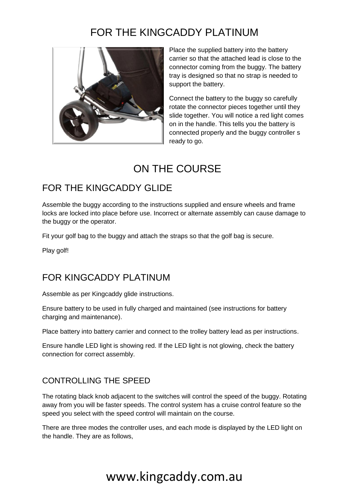# FOR THE KINGCADDY PLATINUM



Place the supplied battery into the battery carrier so that the attached lead is close to the connector coming from the buggy. The battery tray is designed so that no strap is needed to support the battery.

Connect the battery to the buggy so carefully rotate the connector pieces together until they slide together. You will notice a red light comes on in the handle. This tells you the battery is connected properly and the buggy controller s ready to go.

### ON THE COURSE

### FOR THE KINGCADDY GLIDE

Assemble the buggy according to the instructions supplied and ensure wheels and frame locks are locked into place before use. Incorrect or alternate assembly can cause damage to the buggy or the operator.

Fit your golf bag to the buggy and attach the straps so that the golf bag is secure.

Play golf!

### FOR KINGCADDY PLATINUM

Assemble as per Kingcaddy glide instructions.

Ensure battery to be used in fully charged and maintained (see instructions for battery charging and maintenance).

Place battery into battery carrier and connect to the trolley battery lead as per instructions.

Ensure handle LED light is showing red. If the LED light is not glowing, check the battery connection for correct assembly.

#### CONTROLLING THE SPEED

The rotating black knob adjacent to the switches will control the speed of the buggy. Rotating away from you will be faster speeds. The control system has a cruise control feature so the speed you select with the speed control will maintain on the course.

There are three modes the controller uses, and each mode is displayed by the LED light on the handle. They are as follows,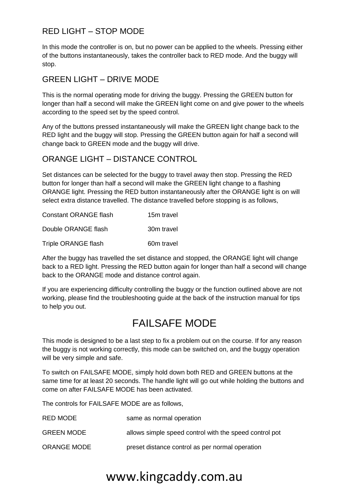#### RED LIGHT – STOP MODE

In this mode the controller is on, but no power can be applied to the wheels. Pressing either of the buttons instantaneously, takes the controller back to RED mode. And the buggy will stop.

#### GREEN LIGHT – DRIVE MODE

This is the normal operating mode for driving the buggy. Pressing the GREEN button for longer than half a second will make the GREEN light come on and give power to the wheels according to the speed set by the speed control.

Any of the buttons pressed instantaneously will make the GREEN light change back to the RED light and the buggy will stop. Pressing the GREEN button again for half a second will change back to GREEN mode and the buggy will drive.

#### ORANGE LIGHT – DISTANCE CONTROL

Set distances can be selected for the buggy to travel away then stop. Pressing the RED button for longer than half a second will make the GREEN light change to a flashing ORANGE light. Pressing the RED button instantaneously after the ORANGE light is on will select extra distance travelled. The distance travelled before stopping is as follows,

| <b>Constant ORANGE flash</b> | 15m travel |
|------------------------------|------------|
| Double ORANGE flash          | 30m travel |
| Triple ORANGE flash          | 60m travel |

After the buggy has travelled the set distance and stopped, the ORANGE light will change back to a RED light. Pressing the RED button again for longer than half a second will change back to the ORANGE mode and distance control again.

If you are experiencing difficulty controlling the buggy or the function outlined above are not working, please find the troubleshooting guide at the back of the instruction manual for tips to help you out.

### FAILSAFE MODE

This mode is designed to be a last step to fix a problem out on the course. If for any reason the buggy is not working correctly, this mode can be switched on, and the buggy operation will be very simple and safe.

To switch on FAILSAFE MODE, simply hold down both RED and GREEN buttons at the same time for at least 20 seconds. The handle light will go out while holding the buttons and come on after FAILSAFE MODE has been activated.

The controls for FAILSAFE MODE are as follows,

| <b>RED MODE</b>    | same as normal operation                               |
|--------------------|--------------------------------------------------------|
| <b>GREEN MODE</b>  | allows simple speed control with the speed control pot |
| <b>ORANGE MODE</b> | preset distance control as per normal operation        |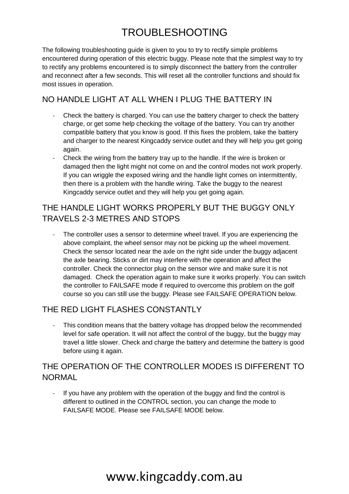# TROUBLESHOOTING

The following troubleshooting guide is given to you to try to rectify simple problems encountered during operation of this electric buggy. Please note that the simplest way to try to rectify any problems encountered is to simply disconnect the battery from the controller and reconnect after a few seconds. This will reset all the controller functions and should fix most issues in operation.

#### NO HANDLE LIGHT AT ALL WHEN I PLUG THE BATTERY IN

- Check the battery is charged. You can use the battery charger to check the battery charge, or get some help checking the voltage of the battery. You can try another compatible battery that you know is good. If this fixes the problem, take the battery and charger to the nearest Kingcaddy service outlet and they will help you get going again.
- Check the wiring from the battery tray up to the handle. If the wire is broken or damaged then the light might not come on and the control modes not work properly. If you can wriggle the exposed wiring and the handle light comes on intermittently, then there is a problem with the handle wiring. Take the buggy to the nearest Kingcaddy service outlet and they will help you get going again.

#### THE HANDLE LIGHT WORKS PROPERLY BUT THE BUGGY ONLY TRAVELS 2-3 METRES AND STOPS

The controller uses a sensor to determine wheel travel. If you are experiencing the above complaint, the wheel sensor may not be picking up the wheel movement. Check the sensor located near the axle on the right side under the buggy adjacent the axle bearing. Sticks or dirt may interfere with the operation and affect the controller. Check the connector plug on the sensor wire and make sure it is not damaged. Check the operation again to make sure it works properly. You can switch the controller to FAILSAFE mode if required to overcome this problem on the golf course so you can still use the buggy. Please see FAILSAFE OPERATION below.

#### THE RED LIGHT FLASHES CONSTANTLY

This condition means that the battery voltage has dropped below the recommended level for safe operation. It will not affect the control of the buggy, but the buggy may travel a little slower. Check and charge the battery and determine the battery is good before using it again.

#### THE OPERATION OF THE CONTROLLER MODES IS DIFFERENT TO NORMAL

If you have any problem with the operation of the buggy and find the control is different to outlined in the CONTROL section, you can change the mode to FAILSAFE MODE. Please see FAILSAFE MODE below.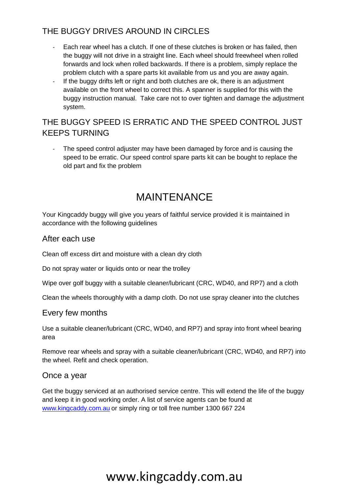#### THE BUGGY DRIVES AROUND IN CIRCLES

- Each rear wheel has a clutch. If one of these clutches is broken or has failed, then the buggy will not drive in a straight line. Each wheel should freewheel when rolled forwards and lock when rolled backwards. If there is a problem, simply replace the problem clutch with a spare parts kit available from us and you are away again.
- If the buggy drifts left or right and both clutches are ok, there is an adjustment available on the front wheel to correct this. A spanner is supplied for this with the buggy instruction manual. Take care not to over tighten and damage the adjustment system.

#### THE BUGGY SPEED IS ERRATIC AND THE SPEED CONTROL JUST KEEPS TURNING

The speed control adjuster may have been damaged by force and is causing the speed to be erratic. Our speed control spare parts kit can be bought to replace the old part and fix the problem

### MAINTENANCE

Your Kingcaddy buggy will give you years of faithful service provided it is maintained in accordance with the following guidelines

#### After each use

Clean off excess dirt and moisture with a clean dry cloth

Do not spray water or liquids onto or near the trolley

Wipe over golf buggy with a suitable cleaner/lubricant (CRC, WD40, and RP7) and a cloth

Clean the wheels thoroughly with a damp cloth. Do not use spray cleaner into the clutches

#### Every few months

Use a suitable cleaner/lubricant (CRC, WD40, and RP7) and spray into front wheel bearing area

Remove rear wheels and spray with a suitable cleaner/lubricant (CRC, WD40, and RP7) into the wheel. Refit and check operation.

#### Once a year

Get the buggy serviced at an authorised service centre. This will extend the life of the buggy and keep it in good working order. A list of service agents can be found at [www.kingcaddy.com.au](http://www.kingcaddy.com.au/) or simply ring or toll free number 1300 667 224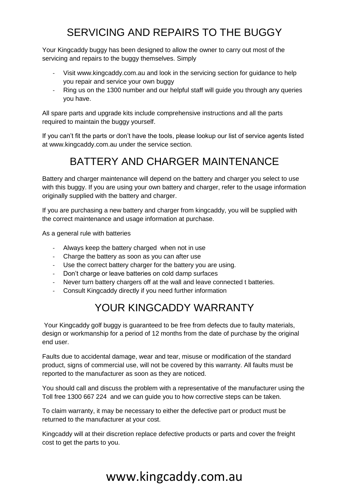# SERVICING AND REPAIRS TO THE BUGGY

Your Kingcaddy buggy has been designed to allow the owner to carry out most of the servicing and repairs to the buggy themselves. Simply

- Visit www.kingcaddy.com.au and look in the servicing section for guidance to help you repair and service your own buggy
- Ring us on the 1300 number and our helpful staff will guide you through any queries you have.

All spare parts and upgrade kits include comprehensive instructions and all the parts required to maintain the buggy yourself.

If you can't fit the parts or don't have the tools, please lookup our list of service agents listed at www.kingcaddy.com.au under the service section.

### BATTERY AND CHARGER MAINTENANCE

Battery and charger maintenance will depend on the battery and charger you select to use with this buggy. If you are using your own battery and charger, refer to the usage information originally supplied with the battery and charger.

If you are purchasing a new battery and charger from kingcaddy, you will be supplied with the correct maintenance and usage information at purchase.

As a general rule with batteries

- Always keep the battery charged when not in use
- Charge the battery as soon as you can after use
- Use the correct battery charger for the battery you are using.
- Don't charge or leave batteries on cold damp surfaces
- Never turn battery chargers off at the wall and leave connected t batteries.
- Consult Kingcaddy directly if you need further information

### YOUR KINGCADDY WARRANTY

Your Kingcaddy golf buggy is guaranteed to be free from defects due to faulty materials, design or workmanship for a period of 12 months from the date of purchase by the original end user.

Faults due to accidental damage, wear and tear, misuse or modification of the standard product, signs of commercial use, will not be covered by this warranty. All faults must be reported to the manufacturer as soon as they are noticed.

You should call and discuss the problem with a representative of the manufacturer using the Toll free 1300 667 224 and we can guide you to how corrective steps can be taken.

To claim warranty, it may be necessary to either the defective part or product must be returned to the manufacturer at your cost.

Kingcaddy will at their discretion replace defective products or parts and cover the freight cost to get the parts to you.